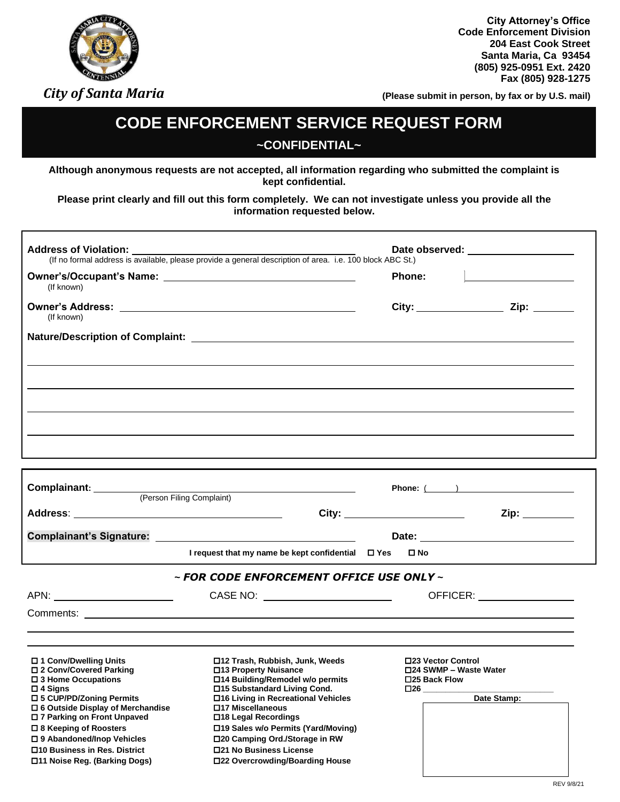## *City of Santa Maria*

**City Attorney's Office Code Enforcement Division 204 East Cook Street Santa Maria, Ca 93454 (805) 925-0951 Ext. 2420 Fax (805) 928-1275**

**(Please submit in person, by fax or by U.S. mail)**

## **CODE ENFORCEMENT SERVICE REQUEST FORM ~CONFIDENTIAL~**

**Although anonymous requests are not accepted, all information regarding who submitted the complaint is kept confidential.**

**Please print clearly and fill out this form completely. We can not investigate unless you provide all the information requested below.**

| <b>Address of Violation:</b> Date (If no formal address is available, please provide a general description of area. i.e. 100 block ABC St.) |                                                                                                                                                                     | Date observed: ____________________                           |                                                                                                                     |
|---------------------------------------------------------------------------------------------------------------------------------------------|---------------------------------------------------------------------------------------------------------------------------------------------------------------------|---------------------------------------------------------------|---------------------------------------------------------------------------------------------------------------------|
| (If known)                                                                                                                                  |                                                                                                                                                                     | Phone:                                                        | and the contract of the contract of the contract of the contract of the contract of the contract of the contract of |
| (If known)                                                                                                                                  |                                                                                                                                                                     |                                                               | City: <u>Zip: Zip:</u>                                                                                              |
|                                                                                                                                             |                                                                                                                                                                     |                                                               |                                                                                                                     |
|                                                                                                                                             |                                                                                                                                                                     |                                                               |                                                                                                                     |
|                                                                                                                                             |                                                                                                                                                                     |                                                               |                                                                                                                     |
|                                                                                                                                             | Complainant: <u>(Person Filing Complaint)</u>                                                                                                                       |                                                               | Phone: ( )                                                                                                          |
|                                                                                                                                             |                                                                                                                                                                     | City: _________________________                               | Zip:                                                                                                                |
|                                                                                                                                             | I request that my name be kept confidential □ Yes □ No                                                                                                              |                                                               |                                                                                                                     |
|                                                                                                                                             | ~ FOR CODE ENFORCEMENT OFFICE USE ONLY ~                                                                                                                            |                                                               |                                                                                                                     |
|                                                                                                                                             |                                                                                                                                                                     |                                                               | OFFICER: __________________                                                                                         |
| □ 1 Conv/Dwelling Units<br>□ 2 Conv/Covered Parking<br>□ 3 Home Occupations<br>$\Box$ 4 Signs $\Box$                                        | □12 Trash, Rubbish, Junk, Weeds<br>□13 Property Nuisance<br>□14 Building/Remodel w/o permits<br>□15 Substandard Living Cond.<br>□16 Living in Recreational Vehicles | □23 Vector Control<br>□24 SWMP – Waste Water<br>□25 Back Flow | Date Stamp:                                                                                                         |